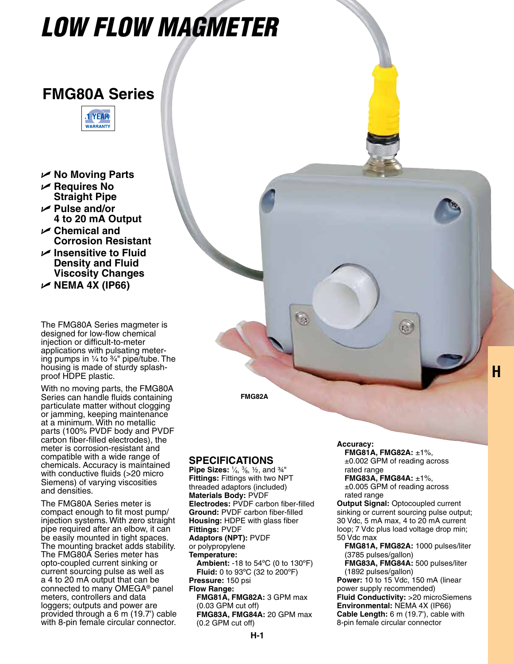# *LOW FLOW MAGMETER*

## **FMG80A Series**



- U **No Moving Parts**
- U **Requires No Straight Pipe**
- U **Pulse and/or 4 to 20 mA Output**
- U **Chemical and Corrosion Resistant**
- U **Insensitive to Fluid Density and Fluid Viscosity Changes**

U **NEMA 4X (IP66)**

The FMG80A Series magmeter is designed for low-flow chemical injection or difficult-to-meter applications with pulsating metering pumps in  $\frac{1}{4}$  to  $\frac{3}{4}$ " pipe/tube. The housing is made of sturdy splashproof HDPE plastic.

With no moving parts, the FMG80A Series can handle fluids containing particulate matter without clogging or jamming, keeping maintenance at a minimum. With no metallic parts (100% PVDF body and PVDF carbon fiber-filled electrodes), the meter is corrosion-resistant and compatible with a wide range of chemicals. Accuracy is maintained with conductive fluids (>20 micro Siemens) of varying viscosities and densities.

The FMG80A Series meter is compact enough to fit most pump/ injection systems. With zero straight pipe required after an elbow, it can be easily mounted in tight spaces. The mounting bracket adds stability. The FMG80A Series meter has opto-coupled current sinking or current sourcing pulse as well as a 4 to 20 mA output that can be connected to many OMEGA<sup>®</sup> panel meters, controllers and data loggers; outputs and power are provided through a 6 m (19.7') cable with 8-pin female circular connector.

**FMG82A**

 $\mathbb{G}$ 

### **Specifications**

**Pipe Sizes:** 1⁄4, 3⁄8, ½, and ¾" **Fittings:** Fittings with two NPT threaded adaptors (included) **Materials Body:** PVDF **Electrodes:** PVDF carbon fiber-filled **Ground:** PVDF carbon fiber-filled **Housing:** HDPE with glass fiber **Fittings:** PVDF **Adaptors (NPT):** PVDF or polypropylene **Temperature: Ambient:** -18 to 54ºC (0 to 130ºF) **Fluid:** 0 to 93ºC (32 to 200ºF) **Pressure:** 150 psi **Flow Range: FMG81A, FMG82A:** 3 GPM max (0.03 GPM cut off) **FMG83A, FMG84A:** 20 GPM max (0.2 GPM cut off)

#### **Accuracy:**

 **FMG81A, FMG82A:** ±1%, ±0.002 GPM of reading across rated range

**H**

**FMG83A, FMG84A:** ±1%, ±0.005 GPM of reading across rated range

**Output Signal:** Optocoupled current sinking or current sourcing pulse output; 30 Vdc, 5 mA max, 4 to 20 mA current loop; 7 Vdc plus load voltage drop min; 50 Vdc max

**FMG81A, FMG82A:** 1000 pulses/liter (3785 pulses/gallon)

**FMG83A, FMG84A:** 500 pulses/liter (1892 pulses/gallon)

**Power:** 10 to 15 Vdc, 150 mA (linear power supply recommended) **Fluid Conductivity:** >20 microSiemens **Environmental:** NEMA 4X (IP66) **Cable Length:** 6 m (19.7'), cable with 8-pin female circular connector